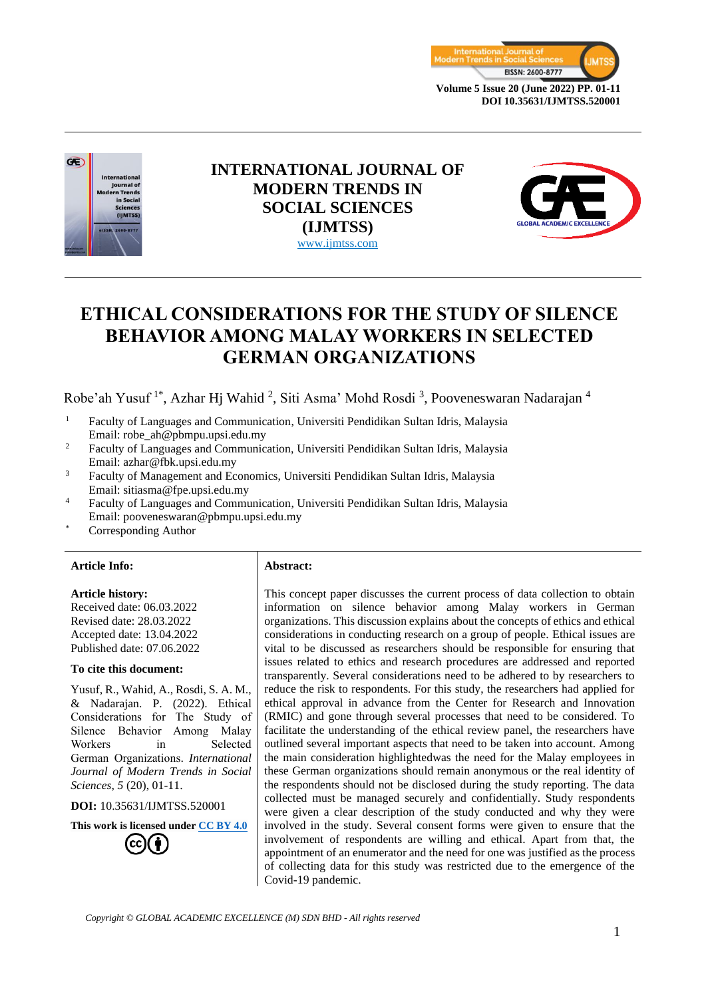



# **INTERNATIONAL JOURNAL OF MODERN TRENDS IN SOCIAL SCIENCES (IJMTSS)** www.ijmtss.com



# **ETHICAL CONSIDERATIONS FOR THE STUDY OF SILENCE BEHAVIOR AMONG MALAY WORKERS IN SELECTED GERMAN ORGANIZATIONS**

Robe'ah Yusuf<sup>1\*</sup>, Azhar Hj Wahid<sup>2</sup>, Siti Asma' Mohd Rosdi<sup>3</sup>, Pooveneswaran Nadarajan<sup>4</sup>

- <sup>1</sup> Faculty of Languages and Communication, Universiti Pendidikan Sultan Idris, Malaysia Email: [robe\\_ah@pbmpu.upsi.edu.my](mailto:robe_ah@pbmpu.upsi.edu.my)
- <sup>2</sup> Faculty of Languages and Communication, Universiti Pendidikan Sultan Idris, Malaysia Email: azhar@fbk.upsi.edu.my
- <sup>3</sup> Faculty of Management and Economics, Universiti Pendidikan Sultan Idris, Malaysia Email: sitiasma@fpe.upsi.edu.my
- <sup>4</sup> Faculty of Languages and Communication, Universiti Pendidikan Sultan Idris, Malaysia Email: [pooveneswaran@pbmpu.upsi.edu.my](mailto:pooveneswaran@pbmpu.upsi.edu.my)
- Corresponding Author

#### **Article Info: Abstract:**

#### **Article history:**

Received date: 06.03.2022 Revised date: 28.03.2022 Accepted date: 13.04.2022 Published date: 07.06.2022

#### **To cite this document:**

Yusuf, R., Wahid, A., Rosdi, S. A. M., & Nadarajan. P. (2022). Ethical Considerations for The Study of Silence Behavior Among Malay Workers in Selected German Organizations. *International Journal of Modern Trends in Social Sciences, 5* (20), 01-11.

**DOI:** 10.35631/IJMTSS.520001

**This work is licensed under [CC BY 4.0](https://creativecommons.org/licenses/by/4.0/?ref=chooser-v1)**

This concept paper discusses the current process of data collection to obtain information on silence behavior among Malay workers in German organizations. This discussion explains about the concepts of ethics and ethical considerations in conducting research on a group of people. Ethical issues are vital to be discussed as researchers should be responsible for ensuring that issues related to ethics and research procedures are addressed and reported transparently. Several considerations need to be adhered to by researchers to reduce the risk to respondents. For this study, the researchers had applied for ethical approval in advance from the Center for Research and Innovation (RMIC) and gone through several processes that need to be considered. To facilitate the understanding of the ethical review panel, the researchers have outlined several important aspects that need to be taken into account. Among the main consideration highlightedwas the need for the Malay employees in these German organizations should remain anonymous or the real identity of the respondents should not be disclosed during the study reporting. The data collected must be managed securely and confidentially. Study respondents were given a clear description of the study conducted and why they were involved in the study. Several consent forms were given to ensure that the involvement of respondents are willing and ethical. Apart from that, the appointment of an enumerator and the need for one was justified as the process of collecting data for this study was restricted due to the emergence of the Covid-19 pandemic.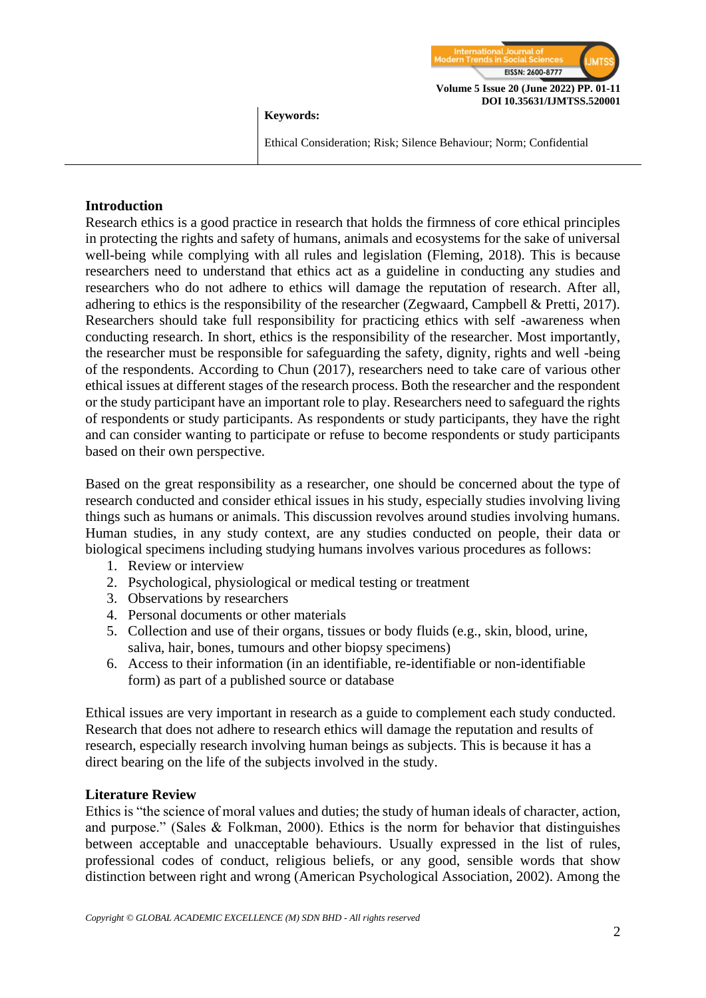

#### **Keywords:**

Ethical Consideration; Risk; Silence Behaviour; Norm; Confidential

## **Introduction**

Research ethics is a good practice in research that holds the firmness of core ethical principles in protecting the rights and safety of humans, animals and ecosystems for the sake of universal well-being while complying with all rules and legislation (Fleming, 2018). This is because researchers need to understand that ethics act as a guideline in conducting any studies and researchers who do not adhere to ethics will damage the reputation of research. After all, adhering to ethics is the responsibility of the researcher (Zegwaard, Campbell & Pretti, 2017). Researchers should take full responsibility for practicing ethics with self -awareness when conducting research. In short, ethics is the responsibility of the researcher. Most importantly, the researcher must be responsible for safeguarding the safety, dignity, rights and well -being of the respondents. According to Chun (2017), researchers need to take care of various other ethical issues at different stages of the research process. Both the researcher and the respondent or the study participant have an important role to play. Researchers need to safeguard the rights of respondents or study participants. As respondents or study participants, they have the right and can consider wanting to participate or refuse to become respondents or study participants based on their own perspective.

Based on the great responsibility as a researcher, one should be concerned about the type of research conducted and consider ethical issues in his study, especially studies involving living things such as humans or animals. This discussion revolves around studies involving humans. Human studies, in any study context, are any studies conducted on people, their data or biological specimens including studying humans involves various procedures as follows:

- 1. Review or interview
- 2. Psychological, physiological or medical testing or treatment
- 3. Observations by researchers
- 4. Personal documents or other materials
- 5. Collection and use of their organs, tissues or body fluids (e.g., skin, blood, urine, saliva, hair, bones, tumours and other biopsy specimens)
- 6. Access to their information (in an identifiable, re-identifiable or non-identifiable form) as part of a published source or database

Ethical issues are very important in research as a guide to complement each study conducted. Research that does not adhere to research ethics will damage the reputation and results of research, especially research involving human beings as subjects. This is because it has a direct bearing on the life of the subjects involved in the study.

#### **Literature Review**

Ethics is "the science of moral values and duties; the study of human ideals of character, action, and purpose." (Sales & Folkman, 2000). Ethics is the norm for behavior that distinguishes between acceptable and unacceptable behaviours. Usually expressed in the list of rules, professional codes of conduct, religious beliefs, or any good, sensible words that show distinction between right and wrong (American Psychological Association, 2002). Among the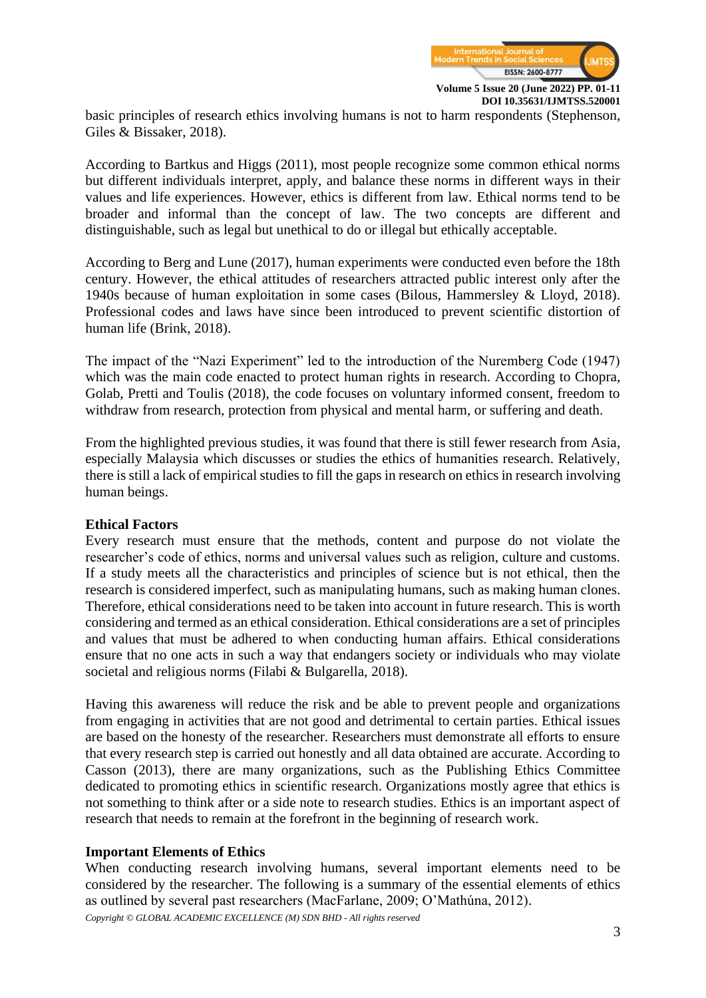

basic principles of research ethics involving humans is not to harm respondents (Stephenson, Giles & Bissaker, 2018).

According to Bartkus and Higgs (2011), most people recognize some common ethical norms but different individuals interpret, apply, and balance these norms in different ways in their values and life experiences. However, ethics is different from law. Ethical norms tend to be broader and informal than the concept of law. The two concepts are different and distinguishable, such as legal but unethical to do or illegal but ethically acceptable.

According to Berg and Lune (2017), human experiments were conducted even before the 18th century. However, the ethical attitudes of researchers attracted public interest only after the 1940s because of human exploitation in some cases (Bilous, Hammersley & Lloyd, 2018). Professional codes and laws have since been introduced to prevent scientific distortion of human life (Brink, 2018).

The impact of the "Nazi Experiment" led to the introduction of the Nuremberg Code (1947) which was the main code enacted to protect human rights in research. According to Chopra, Golab, Pretti and Toulis (2018), the code focuses on voluntary informed consent, freedom to withdraw from research, protection from physical and mental harm, or suffering and death.

From the highlighted previous studies, it was found that there is still fewer research from Asia, especially Malaysia which discusses or studies the ethics of humanities research. Relatively, there is still a lack of empirical studies to fill the gaps in research on ethics in research involving human beings.

#### **Ethical Factors**

Every research must ensure that the methods, content and purpose do not violate the researcher's code of ethics, norms and universal values such as religion, culture and customs. If a study meets all the characteristics and principles of science but is not ethical, then the research is considered imperfect, such as manipulating humans, such as making human clones. Therefore, ethical considerations need to be taken into account in future research. This is worth considering and termed as an ethical consideration. Ethical considerations are a set of principles and values that must be adhered to when conducting human affairs. Ethical considerations ensure that no one acts in such a way that endangers society or individuals who may violate societal and religious norms (Filabi & Bulgarella, 2018).

Having this awareness will reduce the risk and be able to prevent people and organizations from engaging in activities that are not good and detrimental to certain parties. Ethical issues are based on the honesty of the researcher. Researchers must demonstrate all efforts to ensure that every research step is carried out honestly and all data obtained are accurate. According to Casson (2013), there are many organizations, such as the Publishing Ethics Committee dedicated to promoting ethics in scientific research. Organizations mostly agree that ethics is not something to think after or a side note to research studies. Ethics is an important aspect of research that needs to remain at the forefront in the beginning of research work.

#### **Important Elements of Ethics**

*Copyright © GLOBAL ACADEMIC EXCELLENCE (M) SDN BHD - All rights reserved* When conducting research involving humans, several important elements need to be considered by the researcher. The following is a summary of the essential elements of ethics as outlined by several past researchers (MacFarlane, 2009; O'Mathúna, 2012).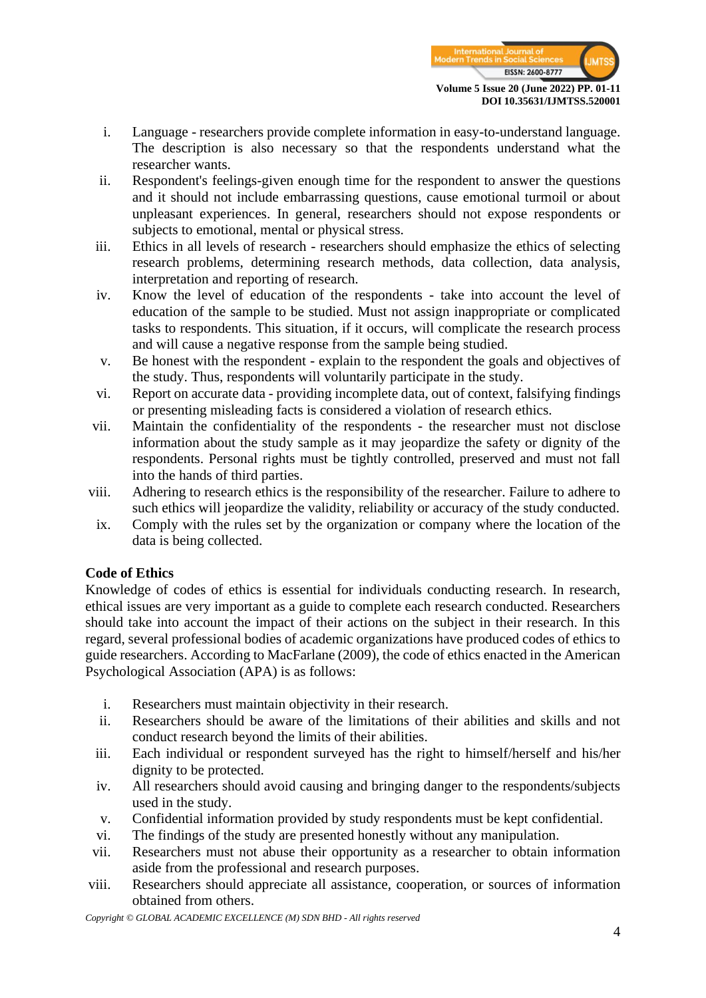

- i. Language researchers provide complete information in easy-to-understand language. The description is also necessary so that the respondents understand what the researcher wants.
- ii. Respondent's feelings-given enough time for the respondent to answer the questions and it should not include embarrassing questions, cause emotional turmoil or about unpleasant experiences. In general, researchers should not expose respondents or subjects to emotional, mental or physical stress.
- iii. Ethics in all levels of research researchers should emphasize the ethics of selecting research problems, determining research methods, data collection, data analysis, interpretation and reporting of research.
- iv. Know the level of education of the respondents take into account the level of education of the sample to be studied. Must not assign inappropriate or complicated tasks to respondents. This situation, if it occurs, will complicate the research process and will cause a negative response from the sample being studied.
- v. Be honest with the respondent explain to the respondent the goals and objectives of the study. Thus, respondents will voluntarily participate in the study.
- vi. Report on accurate data providing incomplete data, out of context, falsifying findings or presenting misleading facts is considered a violation of research ethics.
- vii. Maintain the confidentiality of the respondents the researcher must not disclose information about the study sample as it may jeopardize the safety or dignity of the respondents. Personal rights must be tightly controlled, preserved and must not fall into the hands of third parties.
- viii. Adhering to research ethics is the responsibility of the researcher. Failure to adhere to such ethics will jeopardize the validity, reliability or accuracy of the study conducted.
- ix. Comply with the rules set by the organization or company where the location of the data is being collected.

# **Code of Ethics**

Knowledge of codes of ethics is essential for individuals conducting research. In research, ethical issues are very important as a guide to complete each research conducted. Researchers should take into account the impact of their actions on the subject in their research. In this regard, several professional bodies of academic organizations have produced codes of ethics to guide researchers. According to MacFarlane (2009), the code of ethics enacted in the American Psychological Association (APA) is as follows:

- i. Researchers must maintain objectivity in their research.
- ii. Researchers should be aware of the limitations of their abilities and skills and not conduct research beyond the limits of their abilities.
- iii. Each individual or respondent surveyed has the right to himself/herself and his/her dignity to be protected.
- iv. All researchers should avoid causing and bringing danger to the respondents/subjects used in the study.
- v. Confidential information provided by study respondents must be kept confidential.
- vi. The findings of the study are presented honestly without any manipulation.
- vii. Researchers must not abuse their opportunity as a researcher to obtain information aside from the professional and research purposes.
- viii. Researchers should appreciate all assistance, cooperation, or sources of information obtained from others.

*Copyright © GLOBAL ACADEMIC EXCELLENCE (M) SDN BHD - All rights reserved*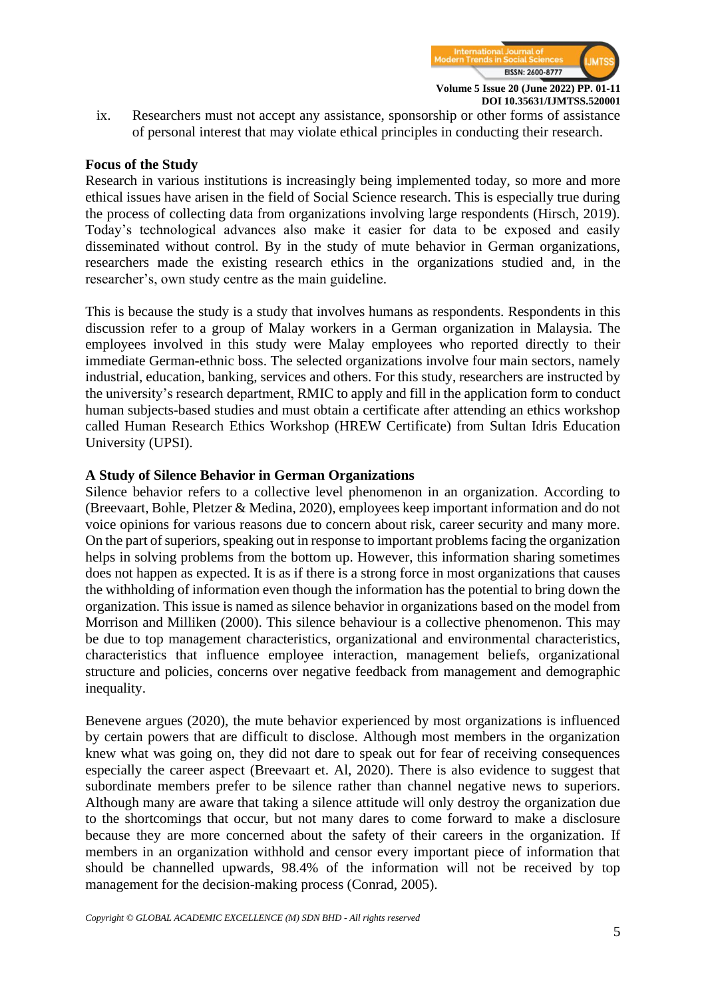

**DOI 10.35631/IJMTSS.520001**

ix. Researchers must not accept any assistance, sponsorship or other forms of assistance of personal interest that may violate ethical principles in conducting their research.

#### **Focus of the Study**

Research in various institutions is increasingly being implemented today, so more and more ethical issues have arisen in the field of Social Science research. This is especially true during the process of collecting data from organizations involving large respondents (Hirsch, 2019). Today's technological advances also make it easier for data to be exposed and easily disseminated without control. By in the study of mute behavior in German organizations, researchers made the existing research ethics in the organizations studied and, in the researcher's, own study centre as the main guideline.

This is because the study is a study that involves humans as respondents. Respondents in this discussion refer to a group of Malay workers in a German organization in Malaysia. The employees involved in this study were Malay employees who reported directly to their immediate German-ethnic boss. The selected organizations involve four main sectors, namely industrial, education, banking, services and others. For this study, researchers are instructed by the university's research department, RMIC to apply and fill in the application form to conduct human subjects-based studies and must obtain a certificate after attending an ethics workshop called Human Research Ethics Workshop (HREW Certificate) from Sultan Idris Education University (UPSI).

#### **A Study of Silence Behavior in German Organizations**

Silence behavior refers to a collective level phenomenon in an organization. According to (Breevaart, Bohle, Pletzer & Medina, 2020), employees keep important information and do not voice opinions for various reasons due to concern about risk, career security and many more. On the part of superiors, speaking out in response to important problems facing the organization helps in solving problems from the bottom up. However, this information sharing sometimes does not happen as expected. It is as if there is a strong force in most organizations that causes the withholding of information even though the information has the potential to bring down the organization. This issue is named as silence behavior in organizations based on the model from Morrison and Milliken (2000). This silence behaviour is a collective phenomenon. This may be due to top management characteristics, organizational and environmental characteristics, characteristics that influence employee interaction, management beliefs, organizational structure and policies, concerns over negative feedback from management and demographic inequality.

Benevene argues (2020), the mute behavior experienced by most organizations is influenced by certain powers that are difficult to disclose. Although most members in the organization knew what was going on, they did not dare to speak out for fear of receiving consequences especially the career aspect (Breevaart et. Al, 2020). There is also evidence to suggest that subordinate members prefer to be silence rather than channel negative news to superiors. Although many are aware that taking a silence attitude will only destroy the organization due to the shortcomings that occur, but not many dares to come forward to make a disclosure because they are more concerned about the safety of their careers in the organization. If members in an organization withhold and censor every important piece of information that should be channelled upwards, 98.4% of the information will not be received by top management for the decision-making process (Conrad, 2005).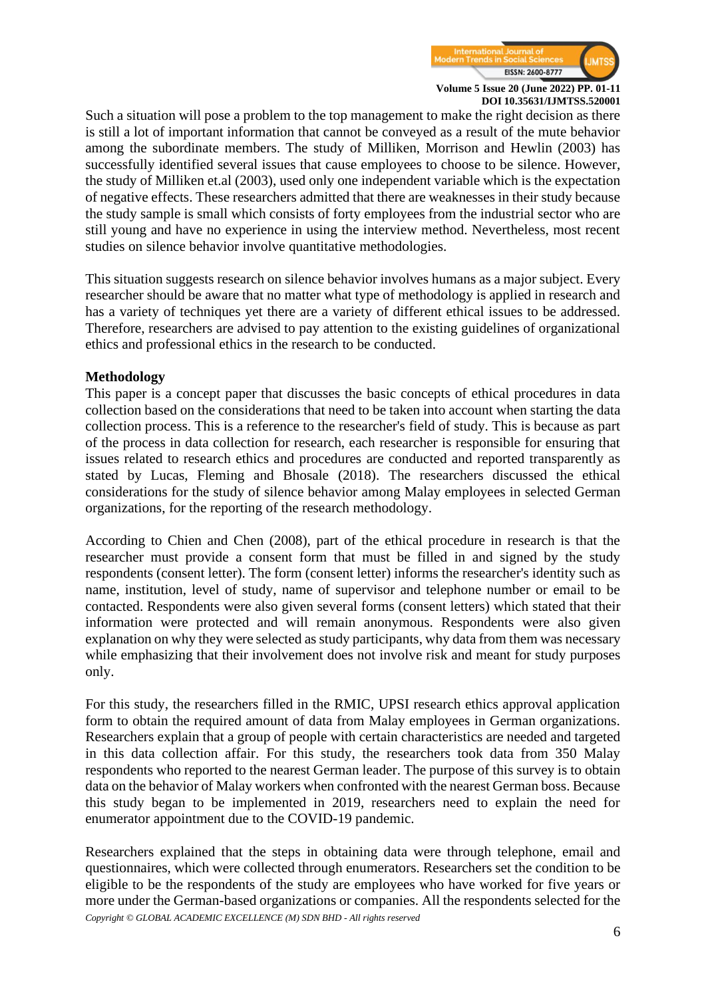

Such a situation will pose a problem to the top management to make the right decision as there is still a lot of important information that cannot be conveyed as a result of the mute behavior among the subordinate members. The study of Milliken, Morrison and Hewlin (2003) has successfully identified several issues that cause employees to choose to be silence. However, the study of Milliken et.al (2003), used only one independent variable which is the expectation of negative effects. These researchers admitted that there are weaknesses in their study because the study sample is small which consists of forty employees from the industrial sector who are still young and have no experience in using the interview method. Nevertheless, most recent studies on silence behavior involve quantitative methodologies.

This situation suggests research on silence behavior involves humans as a major subject. Every researcher should be aware that no matter what type of methodology is applied in research and has a variety of techniques yet there are a variety of different ethical issues to be addressed. Therefore, researchers are advised to pay attention to the existing guidelines of organizational ethics and professional ethics in the research to be conducted.

## **Methodology**

This paper is a concept paper that discusses the basic concepts of ethical procedures in data collection based on the considerations that need to be taken into account when starting the data collection process. This is a reference to the researcher's field of study. This is because as part of the process in data collection for research, each researcher is responsible for ensuring that issues related to research ethics and procedures are conducted and reported transparently as stated by Lucas, Fleming and Bhosale (2018). The researchers discussed the ethical considerations for the study of silence behavior among Malay employees in selected German organizations, for the reporting of the research methodology.

According to Chien and Chen (2008), part of the ethical procedure in research is that the researcher must provide a consent form that must be filled in and signed by the study respondents (consent letter). The form (consent letter) informs the researcher's identity such as name, institution, level of study, name of supervisor and telephone number or email to be contacted. Respondents were also given several forms (consent letters) which stated that their information were protected and will remain anonymous. Respondents were also given explanation on why they were selected as study participants, why data from them was necessary while emphasizing that their involvement does not involve risk and meant for study purposes only.

For this study, the researchers filled in the RMIC, UPSI research ethics approval application form to obtain the required amount of data from Malay employees in German organizations. Researchers explain that a group of people with certain characteristics are needed and targeted in this data collection affair. For this study, the researchers took data from 350 Malay respondents who reported to the nearest German leader. The purpose of this survey is to obtain data on the behavior of Malay workers when confronted with the nearest German boss. Because this study began to be implemented in 2019, researchers need to explain the need for enumerator appointment due to the COVID-19 pandemic.

*Copyright © GLOBAL ACADEMIC EXCELLENCE (M) SDN BHD - All rights reserved* Researchers explained that the steps in obtaining data were through telephone, email and questionnaires, which were collected through enumerators. Researchers set the condition to be eligible to be the respondents of the study are employees who have worked for five years or more under the German-based organizations or companies. All the respondents selected for the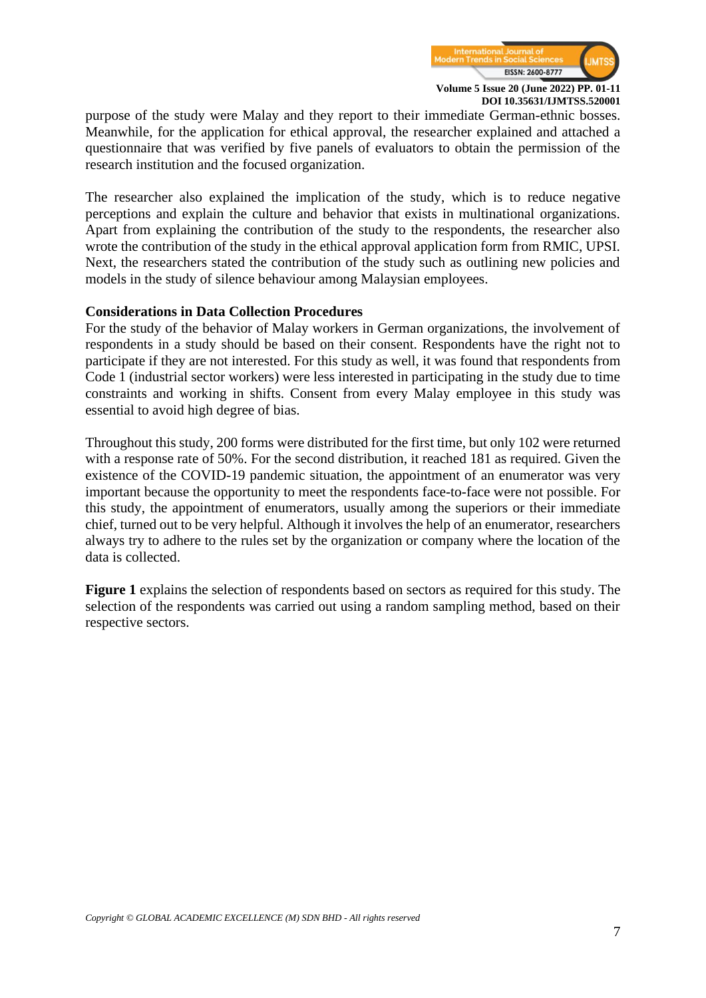

**DOI 10.35631/IJMTSS.520001**

purpose of the study were Malay and they report to their immediate German-ethnic bosses. Meanwhile, for the application for ethical approval, the researcher explained and attached a questionnaire that was verified by five panels of evaluators to obtain the permission of the research institution and the focused organization.

The researcher also explained the implication of the study, which is to reduce negative perceptions and explain the culture and behavior that exists in multinational organizations. Apart from explaining the contribution of the study to the respondents, the researcher also wrote the contribution of the study in the ethical approval application form from RMIC, UPSI. Next, the researchers stated the contribution of the study such as outlining new policies and models in the study of silence behaviour among Malaysian employees.

#### **Considerations in Data Collection Procedures**

For the study of the behavior of Malay workers in German organizations, the involvement of respondents in a study should be based on their consent. Respondents have the right not to participate if they are not interested. For this study as well, it was found that respondents from Code 1 (industrial sector workers) were less interested in participating in the study due to time constraints and working in shifts. Consent from every Malay employee in this study was essential to avoid high degree of bias.

Throughout this study, 200 forms were distributed for the first time, but only 102 were returned with a response rate of 50%. For the second distribution, it reached 181 as required. Given the existence of the COVID-19 pandemic situation, the appointment of an enumerator was very important because the opportunity to meet the respondents face-to-face were not possible. For this study, the appointment of enumerators, usually among the superiors or their immediate chief, turned out to be very helpful. Although it involves the help of an enumerator, researchers always try to adhere to the rules set by the organization or company where the location of the data is collected.

**Figure 1** explains the selection of respondents based on sectors as required for this study. The selection of the respondents was carried out using a random sampling method, based on their respective sectors.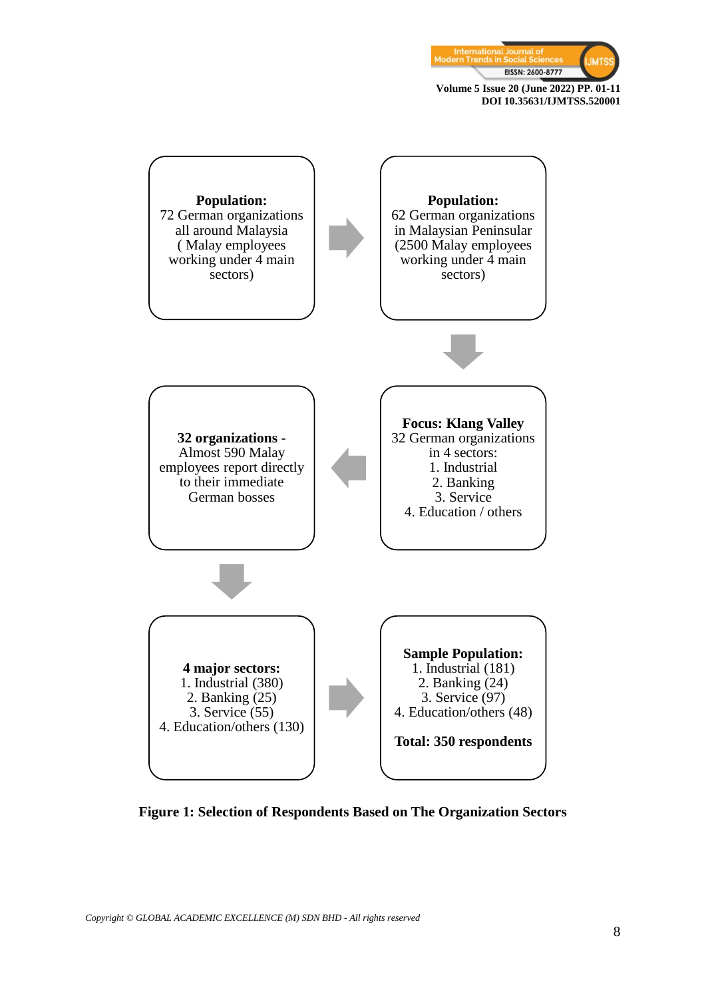





**Figure 1: Selection of Respondents Based on The Organization Sectors**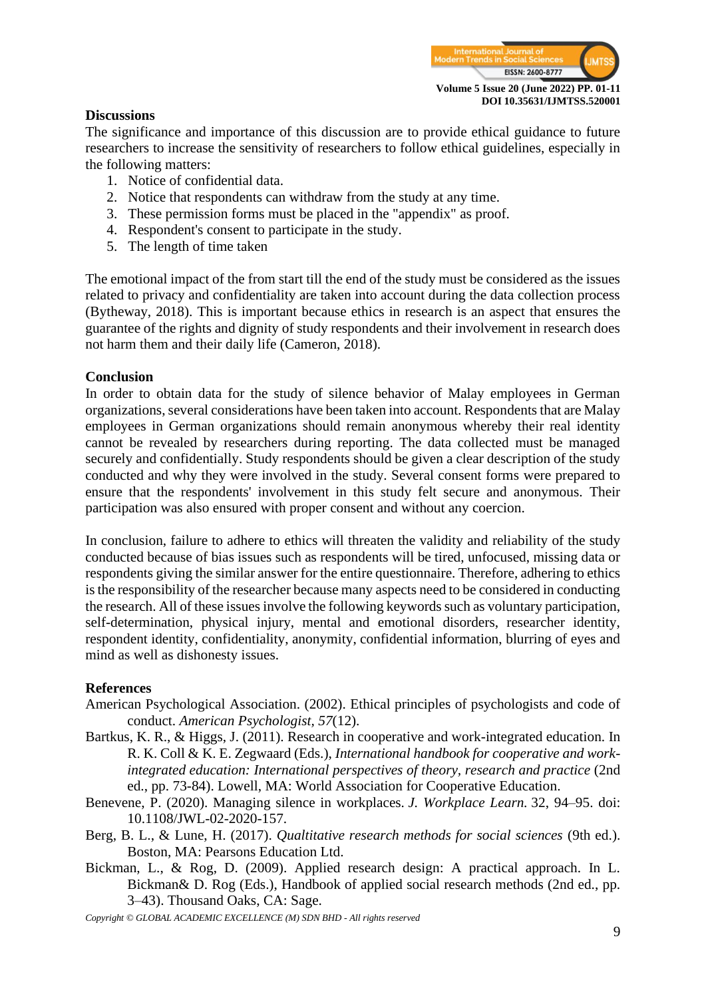

#### **Discussions**

The significance and importance of this discussion are to provide ethical guidance to future researchers to increase the sensitivity of researchers to follow ethical guidelines, especially in the following matters:

- 1. Notice of confidential data.
- 2. Notice that respondents can withdraw from the study at any time.
- 3. These permission forms must be placed in the "appendix" as proof.
- 4. Respondent's consent to participate in the study.
- 5. The length of time taken

The emotional impact of the from start till the end of the study must be considered as the issues related to privacy and confidentiality are taken into account during the data collection process (Bytheway, 2018). This is important because ethics in research is an aspect that ensures the guarantee of the rights and dignity of study respondents and their involvement in research does not harm them and their daily life (Cameron, 2018).

#### **Conclusion**

In order to obtain data for the study of silence behavior of Malay employees in German organizations, several considerations have been taken into account. Respondents that are Malay employees in German organizations should remain anonymous whereby their real identity cannot be revealed by researchers during reporting. The data collected must be managed securely and confidentially. Study respondents should be given a clear description of the study conducted and why they were involved in the study. Several consent forms were prepared to ensure that the respondents' involvement in this study felt secure and anonymous. Their participation was also ensured with proper consent and without any coercion.

In conclusion, failure to adhere to ethics will threaten the validity and reliability of the study conducted because of bias issues such as respondents will be tired, unfocused, missing data or respondents giving the similar answer for the entire questionnaire. Therefore, adhering to ethics is the responsibility of the researcher because many aspects need to be considered in conducting the research. All of these issues involve the following keywords such as voluntary participation, self-determination, physical injury, mental and emotional disorders, researcher identity, respondent identity, confidentiality, anonymity, confidential information, blurring of eyes and mind as well as dishonesty issues.

#### **References**

- American Psychological Association. (2002). Ethical principles of psychologists and code of conduct. *American Psychologist, 57*(12).
- Bartkus, K. R., & Higgs, J. (2011). Research in cooperative and work-integrated education. In R. K. Coll & K. E. Zegwaard (Eds.), *International handbook for cooperative and workintegrated education: International perspectives of theory, research and practice* (2nd ed., pp. 73-84). Lowell, MA: World Association for Cooperative Education.
- Benevene, P. (2020). Managing silence in workplaces. *J. Workplace Learn.* 32, 94–95. doi: 10.1108/JWL-02-2020-157.
- Berg, B. L., & Lune, H. (2017). *Qualtitative research methods for social sciences* (9th ed.). Boston, MA: Pearsons Education Ltd.
- Bickman, L., & Rog, D. (2009). Applied research design: A practical approach. In L. Bickman& D. Rog (Eds.), Handbook of applied social research methods (2nd ed., pp. 3–43). Thousand Oaks, CA: Sage.

*Copyright © GLOBAL ACADEMIC EXCELLENCE (M) SDN BHD - All rights reserved*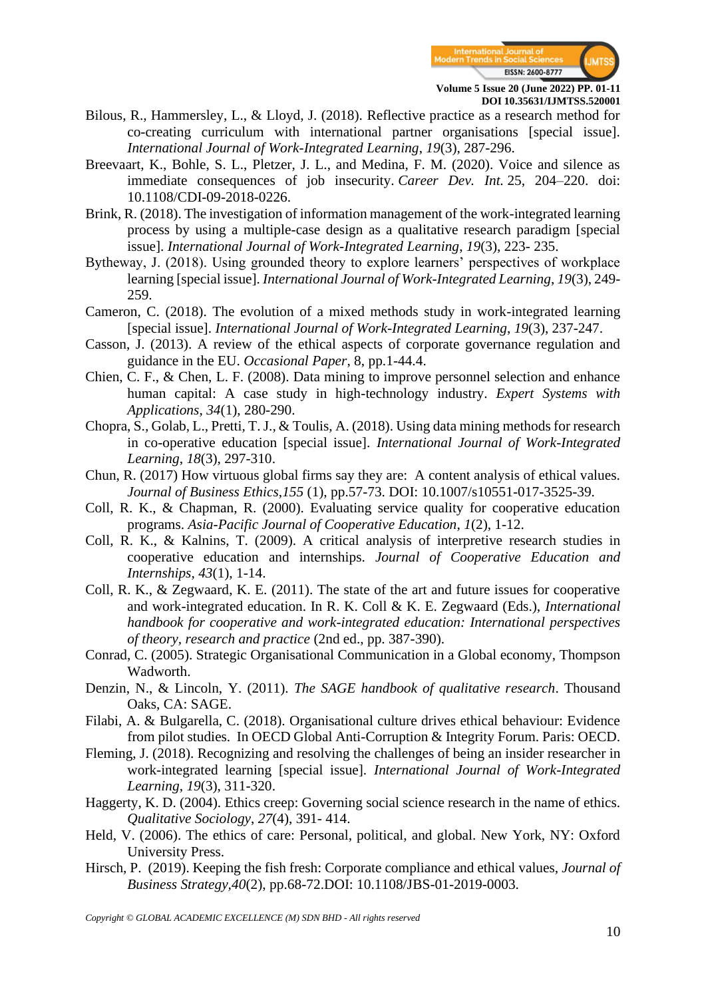

- Bilous, R., Hammersley, L., & Lloyd, J. (2018). Reflective practice as a research method for co-creating curriculum with international partner organisations [special issue]. *International Journal of Work-Integrated Learning*, *19*(3), 287-296.
- Breevaart, K., Bohle, S. L., Pletzer, J. L., and Medina, F. M. (2020). Voice and silence as immediate consequences of job insecurity. *Career Dev. Int.* 25, 204–220. doi: 10.1108/CDI-09-2018-0226.
- Brink, R. (2018). The investigation of information management of the work-integrated learning process by using a multiple-case design as a qualitative research paradigm [special issue]. *International Journal of Work-Integrated Learning*, *19*(3), 223- 235.
- Bytheway, J. (2018). Using grounded theory to explore learners' perspectives of workplace learning [special issue]. *International Journal of Work-Integrated Learning*, *19*(3), 249- 259.
- Cameron, C. (2018). The evolution of a mixed methods study in work-integrated learning [special issue]. *International Journal of Work-Integrated Learning*, *19*(3), 237-247.
- Casson, J. (2013). A review of the ethical aspects of corporate governance regulation and guidance in the EU. *Occasional Paper*, 8, pp.1-44.4.
- Chien, C. F., & Chen, L. F. (2008). Data mining to improve personnel selection and enhance human capital: A case study in high-technology industry. *Expert Systems with Applications*, *34*(1), 280-290.
- Chopra, S., Golab, L., Pretti, T. J., & Toulis, A. (2018). Using data mining methods for research in co-operative education [special issue]. *International Journal of Work-Integrated Learning*, *18*(3), 297-310.
- Chun, R. (2017) How virtuous global firms say they are: A content analysis of ethical values. *Journal of Business Ethics*,*155* (1), pp.57-73. DOI: 10.1007/s10551-017-3525-39.
- Coll, R. K., & Chapman, R. (2000). Evaluating service quality for cooperative education programs. *Asia-Pacific Journal of Cooperative Education*, *1*(2), 1-12.
- Coll, R. K., & Kalnins, T. (2009). A critical analysis of interpretive research studies in cooperative education and internships. *Journal of Cooperative Education and Internships*, *43*(1), 1-14.
- Coll, R. K., & Zegwaard, K. E. (2011). The state of the art and future issues for cooperative and work-integrated education. In R. K. Coll & K. E. Zegwaard (Eds.), *International handbook for cooperative and work-integrated education: International perspectives of theory, research and practice* (2nd ed., pp. 387-390).
- Conrad, C. (2005). Strategic Organisational Communication in a Global economy, Thompson Wadworth.
- Denzin, N., & Lincoln, Y. (2011). *The SAGE handbook of qualitative research*. Thousand Oaks, CA: SAGE.
- Filabi, A. & Bulgarella, C. (2018). Organisational culture drives ethical behaviour: Evidence from pilot studies. In OECD Global Anti-Corruption & Integrity Forum. Paris: OECD.
- Fleming, J. (2018). Recognizing and resolving the challenges of being an insider researcher in work-integrated learning [special issue]. *International Journal of Work-Integrated Learning*, *19*(3), 311-320.
- Haggerty, K. D. (2004). Ethics creep: Governing social science research in the name of ethics. *Qualitative Sociology*, *27*(4), 391- 414.
- Held, V. (2006). The ethics of care: Personal, political, and global. New York, NY: Oxford University Press.
- Hirsch, P. (2019). Keeping the fish fresh: Corporate compliance and ethical values, *Journal of Business Strategy,40*(2), pp.68-72.DOI: 10.1108/JBS-01-2019-0003.